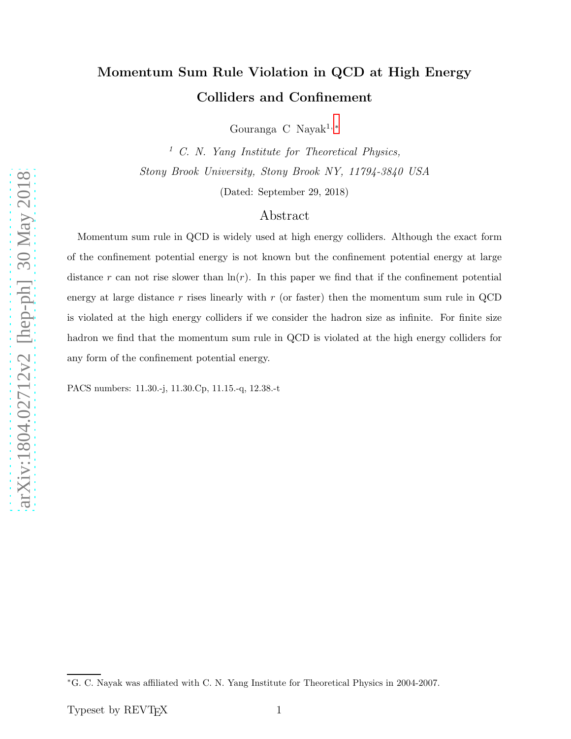# Momentum Sum Rule Violation in QCD at High Energy Colliders and Confinement

Gouranga C Nayak<sup>1,\*</sup>

 $1 \, C.$  N. Yang Institute for Theoretical Physics, Stony Brook University, Stony Brook NY, 11794-3840 USA

(Dated: September 29, 2018)

#### Abstract

Momentum sum rule in QCD is widely used at high energy colliders. Although the exact form of the confinement potential energy is not known but the confinement potential energy at large distance r can not rise slower than  $\ln(r)$ . In this paper we find that if the confinement potential energy at large distance  $r$  rises linearly with  $r$  (or faster) then the momentum sum rule in QCD is violated at the high energy colliders if we consider the hadron size as infinite. For finite size hadron we find that the momentum sum rule in QCD is violated at the high energy colliders for any form of the confinement potential energy.

PACS numbers: 11.30.-j, 11.30.Cp, 11.15.-q, 12.38.-t

<span id="page-0-0"></span><sup>∗</sup>G. C. Nayak was affiliated with C. N. Yang Institute for Theoretical Physics in 2004-2007.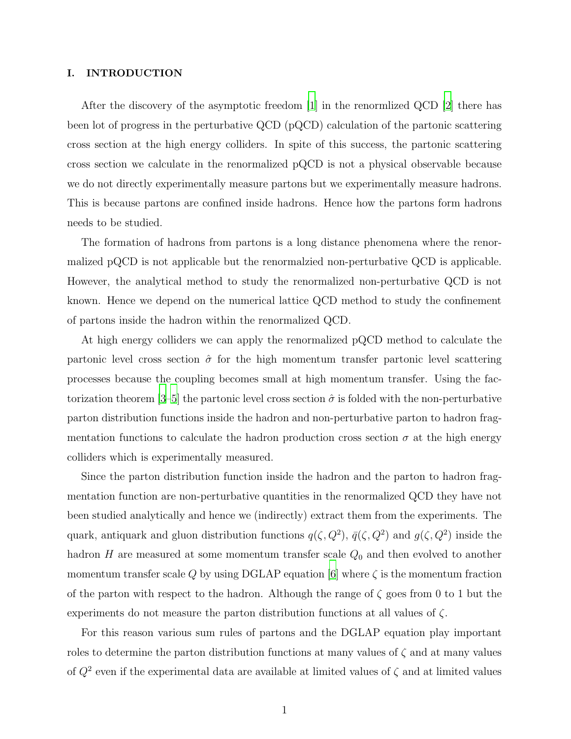#### I. INTRODUCTION

After the discovery of the asymptotic freedom [\[1\]](#page-11-0) in the renormlized QCD [\[2\]](#page-11-1) there has been lot of progress in the perturbative QCD (pQCD) calculation of the partonic scattering cross section at the high energy colliders. In spite of this success, the partonic scattering cross section we calculate in the renormalized pQCD is not a physical observable because we do not directly experimentally measure partons but we experimentally measure hadrons. This is because partons are confined inside hadrons. Hence how the partons form hadrons needs to be studied.

The formation of hadrons from partons is a long distance phenomena where the renormalized pQCD is not applicable but the renormalzied non-perturbative QCD is applicable. However, the analytical method to study the renormalized non-perturbative QCD is not known. Hence we depend on the numerical lattice QCD method to study the confinement of partons inside the hadron within the renormalized QCD.

At high energy colliders we can apply the renormalized pQCD method to calculate the partonic level cross section  $\hat{\sigma}$  for the high momentum transfer partonic level scattering processes because the coupling becomes small at high momentum transfer. Using the fac-torization theorem [\[3](#page-11-2)[–5\]](#page-11-3) the partonic level cross section  $\hat{\sigma}$  is folded with the non-perturbative parton distribution functions inside the hadron and non-perturbative parton to hadron fragmentation functions to calculate the hadron production cross section  $\sigma$  at the high energy colliders which is experimentally measured.

Since the parton distribution function inside the hadron and the parton to hadron fragmentation function are non-perturbative quantities in the renormalized QCD they have not been studied analytically and hence we (indirectly) extract them from the experiments. The quark, antiquark and gluon distribution functions  $q(\zeta, Q^2)$ ,  $\bar{q}(\zeta, Q^2)$  and  $g(\zeta, Q^2)$  inside the hadron H are measured at some momentum transfer scale  $Q_0$  and then evolved to another momentum transfer scale Q by using DGLAP equation [\[6](#page-11-4)] where  $\zeta$  is the momentum fraction of the parton with respect to the hadron. Although the range of  $\zeta$  goes from 0 to 1 but the experiments do not measure the parton distribution functions at all values of  $\zeta$ .

For this reason various sum rules of partons and the DGLAP equation play important roles to determine the parton distribution functions at many values of  $\zeta$  and at many values of  $Q^2$  even if the experimental data are available at limited values of  $\zeta$  and at limited values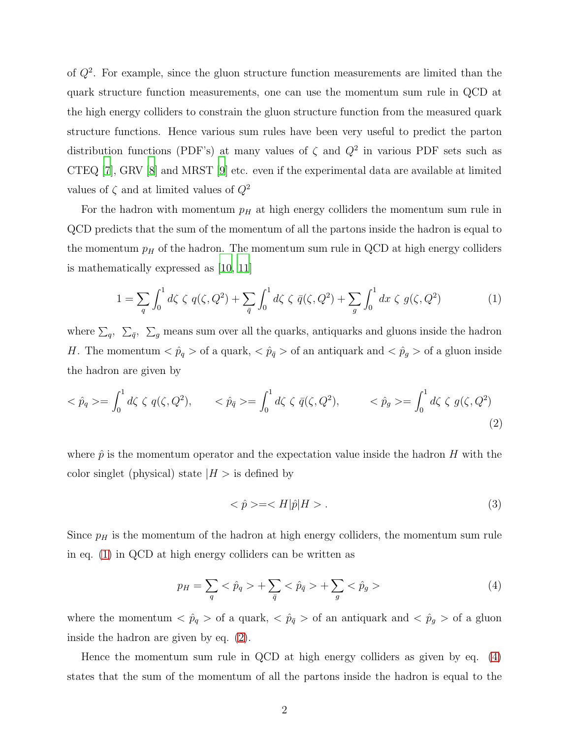of  $Q^2$ . For example, since the gluon structure function measurements are limited than the quark structure function measurements, one can use the momentum sum rule in QCD at the high energy colliders to constrain the gluon structure function from the measured quark structure functions. Hence various sum rules have been very useful to predict the parton distribution functions (PDF's) at many values of  $\zeta$  and  $Q^2$  in various PDF sets such as CTEQ [\[7](#page-12-0)], GRV [\[8\]](#page-12-1) and MRST [\[9](#page-12-2)] etc. even if the experimental data are available at limited values of  $\zeta$  and at limited values of  $Q^2$ 

For the hadron with momentum  $p<sub>H</sub>$  at high energy colliders the momentum sum rule in QCD predicts that the sum of the momentum of all the partons inside the hadron is equal to the momentum  $p<sub>H</sub>$  of the hadron. The momentum sum rule in QCD at high energy colliders is mathematically expressed as [\[10,](#page-12-3) [11](#page-12-4)]

<span id="page-2-0"></span>
$$
1 = \sum_{q} \int_{0}^{1} d\zeta \zeta q(\zeta, Q^{2}) + \sum_{\bar{q}} \int_{0}^{1} d\zeta \zeta \bar{q}(\zeta, Q^{2}) + \sum_{g} \int_{0}^{1} dx \zeta g(\zeta, Q^{2}) \tag{1}
$$

where  $\sum_q$ ,  $\sum_{\bar{q}}$ ,  $\sum_g$  means sum over all the quarks, antiquarks and gluons inside the hadron H. The momentum  $\langle \hat{p}_q \rangle$  of a quark,  $\langle \hat{p}_{\bar{q}} \rangle$  of an antiquark and  $\langle \hat{p}_g \rangle$  of a gluon inside the hadron are given by

<span id="page-2-1"></span>
$$
\langle \hat{p}_q \rangle = \int_0^1 d\zeta \, \zeta \, q(\zeta, Q^2), \qquad \langle \hat{p}_{\bar{q}} \rangle = \int_0^1 d\zeta \, \zeta \, \bar{q}(\zeta, Q^2), \qquad \langle \hat{p}_g \rangle = \int_0^1 d\zeta \, \zeta \, g(\zeta, Q^2) \tag{2}
$$

where  $\hat{p}$  is the momentum operator and the expectation value inside the hadron H with the color singlet (physical) state  $|H| >$  is defined by

<span id="page-2-3"></span>
$$
\langle \hat{p} \rangle = \langle H|\hat{p}|H \rangle. \tag{3}
$$

Since  $p<sub>H</sub>$  is the momentum of the hadron at high energy colliders, the momentum sum rule in eq. [\(1\)](#page-2-0) in QCD at high energy colliders can be written as

<span id="page-2-2"></span>
$$
p_H = \sum_{q} \langle \hat{p}_q \rangle + \sum_{\bar{q}} \langle \hat{p}_{\bar{q}} \rangle + \sum_{g} \langle \hat{p}_g \rangle \tag{4}
$$

where the momentum  $\langle \hat{p}_q \rangle$  of a quark,  $\langle \hat{p}_{\bar{q}} \rangle$  of an antiquark and  $\langle \hat{p}_g \rangle$  of a gluon inside the hadron are given by eq. [\(2\)](#page-2-1).

Hence the momentum sum rule in QCD at high energy colliders as given by eq. [\(4\)](#page-2-2) states that the sum of the momentum of all the partons inside the hadron is equal to the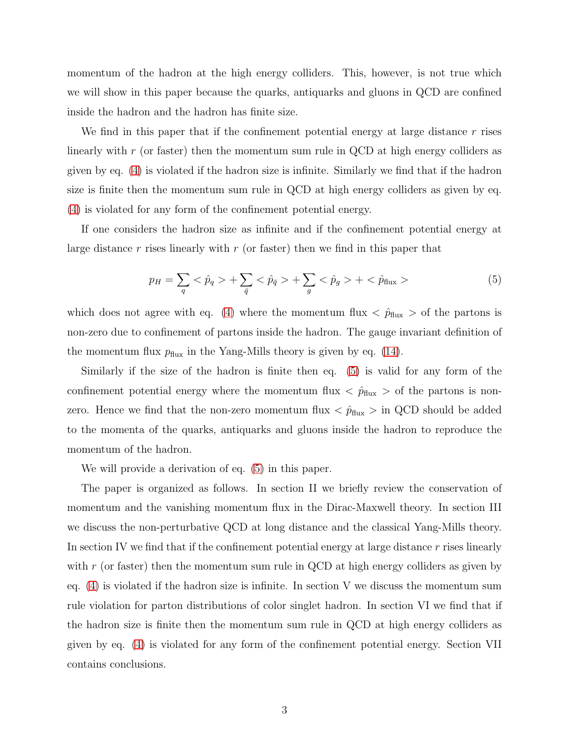momentum of the hadron at the high energy colliders. This, however, is not true which we will show in this paper because the quarks, antiquarks and gluons in QCD are confined inside the hadron and the hadron has finite size.

We find in this paper that if the confinement potential energy at large distance  $r$  rises linearly with r (or faster) then the momentum sum rule in QCD at high energy colliders as given by eq. [\(4\)](#page-2-2) is violated if the hadron size is infinite. Similarly we find that if the hadron size is finite then the momentum sum rule in QCD at high energy colliders as given by eq. [\(4\)](#page-2-2) is violated for any form of the confinement potential energy.

If one considers the hadron size as infinite and if the confinement potential energy at large distance r rises linearly with  $r$  (or faster) then we find in this paper that

<span id="page-3-0"></span>
$$
p_H = \sum_{q} \langle \hat{p}_q \rangle + \sum_{\bar{q}} \langle \hat{p}_{\bar{q}} \rangle + \sum_{g} \langle \hat{p}_g \rangle + \langle \hat{p}_{\text{flux}} \rangle \tag{5}
$$

which does not agree with eq. [\(4\)](#page-2-2) where the momentum flux  $\langle \hat{p}_{\text{flux}} \rangle$  of the partons is non-zero due to confinement of partons inside the hadron. The gauge invariant definition of the momentum flux  $p_{\text{flux}}$  in the Yang-Mills theory is given by eq. [\(14\)](#page-8-0).

Similarly if the size of the hadron is finite then eq. [\(5\)](#page-3-0) is valid for any form of the confinement potential energy where the momentum flux  $\langle \hat{p}_{\text{flux}} \rangle$  of the partons is nonzero. Hence we find that the non-zero momentum flux  $\langle \hat{p}_{\text{flux}} \rangle$  in QCD should be added to the momenta of the quarks, antiquarks and gluons inside the hadron to reproduce the momentum of the hadron.

We will provide a derivation of eq. [\(5\)](#page-3-0) in this paper.

The paper is organized as follows. In section II we briefly review the conservation of momentum and the vanishing momentum flux in the Dirac-Maxwell theory. In section III we discuss the non-perturbative QCD at long distance and the classical Yang-Mills theory. In section IV we find that if the confinement potential energy at large distance  $r$  rises linearly with  $r$  (or faster) then the momentum sum rule in QCD at high energy colliders as given by eq.  $(4)$  is violated if the hadron size is infinite. In section V we discuss the momentum sum rule violation for parton distributions of color singlet hadron. In section VI we find that if the hadron size is finite then the momentum sum rule in QCD at high energy colliders as given by eq. [\(4\)](#page-2-2) is violated for any form of the confinement potential energy. Section VII contains conclusions.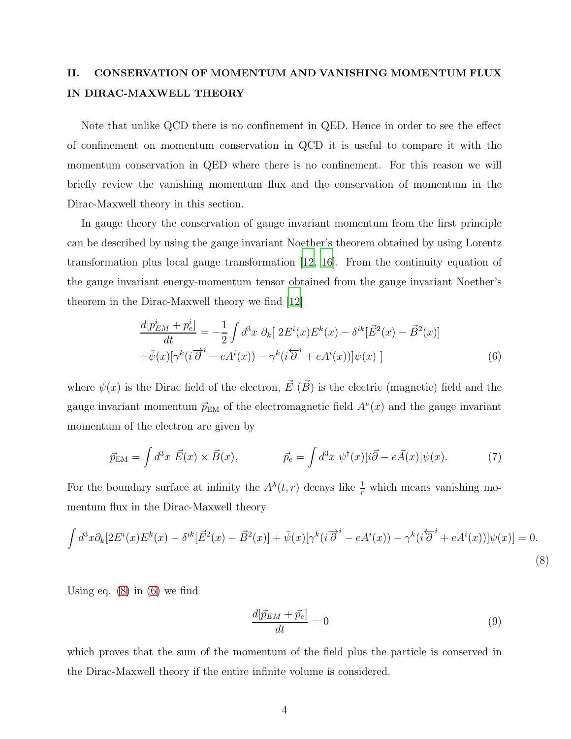### II. CONSERVATION OF MOMENTUM AND VANISHING MOMENTUM FLUX IN DIRAC-MAXWELL THEORY

Note that unlike QCD there is no confinement in QED. Hence in order to see the effect of confinement on momentum conservation in QCD it is useful to compare it with the momentum conservation in QED where there is no confinement. For this reason we will briefly review the vanishing momentum flux and the conservation of momentum in the Dirac-Maxwell theory in this section.

In gauge theory the conservation of gauge invariant momentum from the first principle can be described by using the gauge invariant Noether's theorem obtained by using Lorentz transformation plus local gauge transformation [\[12,](#page-12-5) [16\]](#page-12-6). From the continuity equation of the gauge invariant energy-momentum tensor obtained from the gauge invariant Noether's theorem in the Dirac-Maxwell theory we find [\[12\]](#page-12-5)

<span id="page-4-1"></span>
$$
\frac{d[p_{EM}^i + p_e^i]}{dt} = -\frac{1}{2} \int d^3x \ \partial_k[ 2E^i(x)E^k(x) - \delta^{ik}[\vec{E}^2(x) - \vec{B}^2(x)] \n+ \bar{\psi}(x) [\gamma^k(i\vec{\partial}^i - eA^i(x)) - \gamma^k(i\vec{\partial}^i + eA^i(x))] \psi(x) ]
$$
\n(6)

where  $\psi(x)$  is the Dirac field of the electron,  $\vec{E}~(\vec{B})$  is the electric (magnetic) field and the gauge invariant momentum  $\vec{p}_{EM}$  of the electromagnetic field  $A^{\nu}(x)$  and the gauge invariant momentum of the electron are given by

$$
\vec{p}_{EM} = \int d^3x \ \vec{E}(x) \times \vec{B}(x), \qquad \vec{p}_e = \int d^3x \ \psi^\dagger(x) [i\vec{\partial} - e\vec{A}(x)] \psi(x). \tag{7}
$$

For the boundary surface at infinity the  $A^{\lambda}(t, r)$  decays like  $\frac{1}{r}$  which means vanishing momentum flux in the Dirac-Maxwell theory

<span id="page-4-0"></span>
$$
\int d^3x \partial_k[2E^i(x)E^k(x) - \delta^{ik}[\vec{E}^2(x) - \vec{B}^2(x)] + \bar{\psi}(x)[\gamma^k(i\overrightarrow{\partial}^i - eA^i(x)) - \gamma^k(i\overleftarrow{\partial}^i + eA^i(x))]\psi(x)] = 0.
$$
\n(8)

Using eq.  $(8)$  in  $(6)$  we find

$$
\frac{d[\vec{p}_{EM} + \vec{p}_e]}{dt} = 0\tag{9}
$$

which proves that the sum of the momentum of the field plus the particle is conserved in the Dirac-Maxwell theory if the entire infinite volume is considered.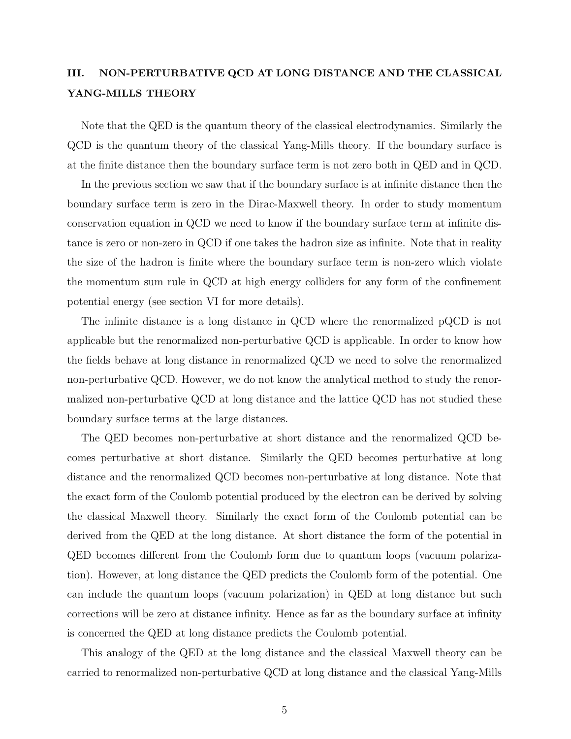#### <span id="page-5-0"></span>III. NON-PERTURBATIVE QCD AT LONG DISTANCE AND THE CLASSICAL YANG-MILLS THEORY

Note that the QED is the quantum theory of the classical electrodynamics. Similarly the QCD is the quantum theory of the classical Yang-Mills theory. If the boundary surface is at the finite distance then the boundary surface term is not zero both in QED and in QCD.

In the previous section we saw that if the boundary surface is at infinite distance then the boundary surface term is zero in the Dirac-Maxwell theory. In order to study momentum conservation equation in QCD we need to know if the boundary surface term at infinite distance is zero or non-zero in QCD if one takes the hadron size as infinite. Note that in reality the size of the hadron is finite where the boundary surface term is non-zero which violate the momentum sum rule in QCD at high energy colliders for any form of the confinement potential energy (see section VI for more details).

The infinite distance is a long distance in QCD where the renormalized pQCD is not applicable but the renormalized non-perturbative QCD is applicable. In order to know how the fields behave at long distance in renormalized QCD we need to solve the renormalized non-perturbative QCD. However, we do not know the analytical method to study the renormalized non-perturbative QCD at long distance and the lattice QCD has not studied these boundary surface terms at the large distances.

The QED becomes non-perturbative at short distance and the renormalized QCD becomes perturbative at short distance. Similarly the QED becomes perturbative at long distance and the renormalized QCD becomes non-perturbative at long distance. Note that the exact form of the Coulomb potential produced by the electron can be derived by solving the classical Maxwell theory. Similarly the exact form of the Coulomb potential can be derived from the QED at the long distance. At short distance the form of the potential in QED becomes different from the Coulomb form due to quantum loops (vacuum polarization). However, at long distance the QED predicts the Coulomb form of the potential. One can include the quantum loops (vacuum polarization) in QED at long distance but such corrections will be zero at distance infinity. Hence as far as the boundary surface at infinity is concerned the QED at long distance predicts the Coulomb potential.

This analogy of the QED at the long distance and the classical Maxwell theory can be carried to renormalized non-perturbative QCD at long distance and the classical Yang-Mills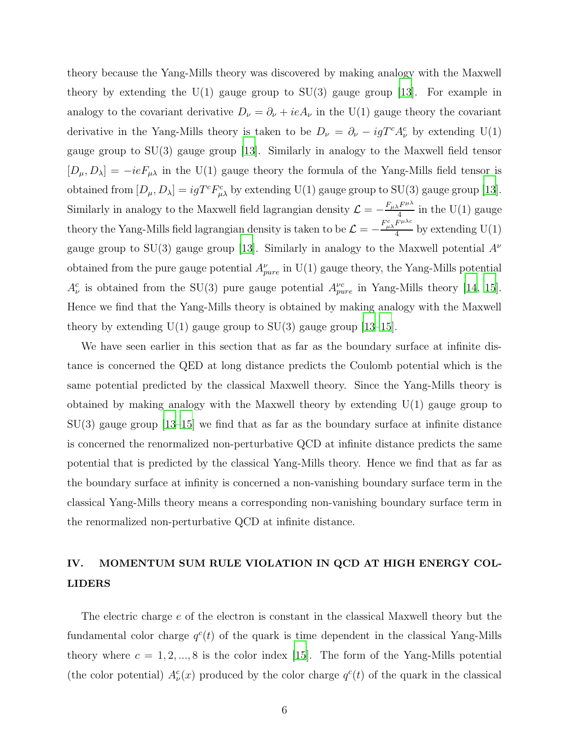theory because the Yang-Mills theory was discovered by making analogy with the Maxwell theory by extending the  $U(1)$  gauge group to  $SU(3)$  gauge group [\[13](#page-12-7)]. For example in analogy to the covariant derivative  $D_{\nu} = \partial_{\nu} + ieA_{\nu}$  in the U(1) gauge theory the covariant derivative in the Yang-Mills theory is taken to be  $D_{\nu} = \partial_{\nu} - igT^{c} A_{\nu}^{c}$  by extending U(1) gauge group to SU(3) gauge group [\[13](#page-12-7)]. Similarly in analogy to the Maxwell field tensor  $[D_{\mu}, D_{\lambda}] = -ieF_{\mu\lambda}$  in the U(1) gauge theory the formula of the Yang-Mills field tensor is obtained from  $[D_\mu, D_\lambda] = igT^c F_{\mu\lambda}^c$  by extending U(1) gauge group to SU(3) gauge group [\[13\]](#page-12-7). Similarly in analogy to the Maxwell field lagrangian density  $\mathcal{L} = -\frac{F_{\mu\lambda}F^{\mu\lambda}}{4}$  $\frac{1}{4}$  in the U(1) gauge theory the Yang-Mills field lagrangian density is taken to be  $\mathcal{L} = -\frac{F_{\mu\lambda}^c F^{\mu\lambda c}}{4}$  $\frac{1}{4}$  by extending U(1) gauge group to SU(3) gauge group [\[13\]](#page-12-7). Similarly in analogy to the Maxwell potential  $A^{\nu}$ obtained from the pure gauge potential  $A_{pure}^{\nu}$  in U(1) gauge theory, the Yang-Mills potential  $A_{\nu}^{c}$  is obtained from the SU(3) pure gauge potential  $A_{pure}^{\nu c}$  in Yang-Mills theory [\[14,](#page-12-8) [15\]](#page-12-9). Hence we find that the Yang-Mills theory is obtained by making analogy with the Maxwell theory by extending  $U(1)$  gauge group to  $SU(3)$  gauge group [\[13](#page-12-7)[–15\]](#page-12-9).

We have seen earlier in this section that as far as the boundary surface at infinite distance is concerned the QED at long distance predicts the Coulomb potential which is the same potential predicted by the classical Maxwell theory. Since the Yang-Mills theory is obtained by making analogy with the Maxwell theory by extending  $U(1)$  gauge group to  $SU(3)$  gauge group [\[13](#page-12-7)[–15](#page-12-9)] we find that as far as the boundary surface at infinite distance is concerned the renormalized non-perturbative QCD at infinite distance predicts the same potential that is predicted by the classical Yang-Mills theory. Hence we find that as far as the boundary surface at infinity is concerned a non-vanishing boundary surface term in the classical Yang-Mills theory means a corresponding non-vanishing boundary surface term in the renormalized non-perturbative QCD at infinite distance.

### IV. MOMENTUM SUM RULE VIOLATION IN QCD AT HIGH ENERGY COL-LIDERS

The electric charge e of the electron is constant in the classical Maxwell theory but the fundamental color charge  $q^c(t)$  of the quark is time dependent in the classical Yang-Mills theory where  $c = 1, 2, ..., 8$  is the color index [\[15](#page-12-9)]. The form of the Yang-Mills potential (the color potential)  $A_{\nu}^{c}(x)$  produced by the color charge  $q^{c}(t)$  of the quark in the classical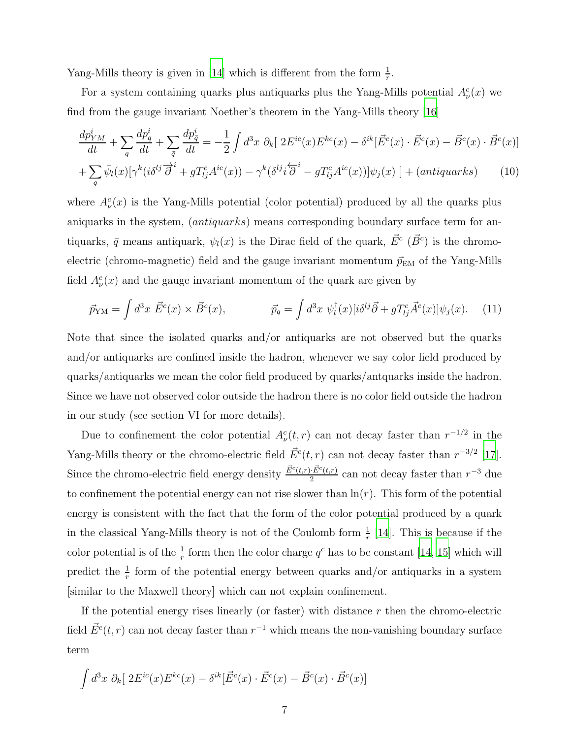Yang-Mills theory is given in [\[14\]](#page-12-8) which is different from the form  $\frac{1}{r}$ .

For a system containing quarks plus antiquarks plus the Yang-Mills potential  $A^c_\nu(x)$  we find from the gauge invariant Noether's theorem in the Yang-Mills theory [\[16](#page-12-6)]

<span id="page-7-1"></span>
$$
\frac{dp_{YM}^i}{dt} + \sum_{q} \frac{dp_q^i}{dt} + \sum_{\bar{q}} \frac{dp_{\bar{q}}^i}{dt} = -\frac{1}{2} \int d^3x \ \partial_k[ \ 2E^{ic}(x)E^{kc}(x) - \delta^{ik}[\vec{E}^c(x) \cdot \vec{E}^c(x) - \vec{B}^c(x) \cdot \vec{B}^c(x)]
$$

$$
+\sum_{q}\bar{\psi}_{l}(x)[\gamma^{k}(i\delta^{lj}\overrightarrow{\partial}^{i}+gT_{lj}^{c}A^{ic}(x))-\gamma^{k}(\delta^{lj}i\overleftarrow{\partial}^{i}-gT_{lj}^{c}A^{ic}(x))] \psi_{j}(x)]+(antiquarks)
$$
 (10)

where  $A^c_{\nu}(x)$  is the Yang-Mills potential (color potential) produced by all the quarks plus aniquarks in the system, (*antiquarks*) means corresponding boundary surface term for antiquarks,  $\bar{q}$  means antiquark,  $\psi_l(x)$  is the Dirac field of the quark,  $\vec{E}^c$  ( $\vec{B}^c$ ) is the chromoelectric (chromo-magnetic) field and the gauge invariant momentum  $\vec{p}_{EM}$  of the Yang-Mills field  $A_{\nu}^{c}(x)$  and the gauge invariant momentum of the quark are given by

$$
\vec{p}_{\mathrm{YM}} = \int d^3x \; \vec{E}^c(x) \times \vec{B}^c(x), \qquad \vec{p}_q = \int d^3x \; \psi_l^\dagger(x) [i\delta^{lj}\vec{\partial} + gT_{lj}^c \vec{A}^c(x)] \psi_j(x). \tag{11}
$$

Note that since the isolated quarks and/or antiquarks are not observed but the quarks and/or antiquarks are confined inside the hadron, whenever we say color field produced by quarks/antiquarks we mean the color field produced by quarks/antquarks inside the hadron. Since we have not observed color outside the hadron there is no color field outside the hadron in our study (see section VI for more details).

Due to confinement the color potential  $A^c_\nu(t,r)$  can not decay faster than  $r^{-1/2}$  in the Yang-Mills theory or the chromo-electric field  $\vec{E}^c(t,r)$  can not decay faster than  $r^{-3/2}$  [\[17\]](#page-12-10). Since the chromo-electric field energy density  $\frac{\vec{E}^{c}(t,r)\cdot\vec{E}^{c}(t,r)}{2}$  $\frac{E^c(t,r)}{2}$  can not decay faster than  $r^{-3}$  due to confinement the potential energy can not rise slower than  $\ln(r)$ . This form of the potential energy is consistent with the fact that the form of the color potential produced by a quark in the classical Yang-Mills theory is not of the Coulomb form  $\frac{1}{r}$  [\[14\]](#page-12-8). This is because if the color potential is of the  $\frac{1}{r}$  form then the color charge  $q^c$  has to be constant [\[14](#page-12-8), [15\]](#page-12-9) which will predict the  $\frac{1}{r}$  form of the potential energy between quarks and/or antiquarks in a system [similar to the Maxwell theory] which can not explain confinement.

If the potential energy rises linearly (or faster) with distance  $r$  then the chromo-electric field  $\vec{E}^c(t,r)$  can not decay faster than  $r^{-1}$  which means the non-vanishing boundary surface term

<span id="page-7-0"></span>
$$
\int d^3x \; \partial_k[ 2E^{ic}(x)E^{kc}(x) - \delta^{ik}[\vec{E}^c(x) \cdot \vec{E}^c(x) - \vec{B}^c(x) \cdot \vec{B}^c(x)]
$$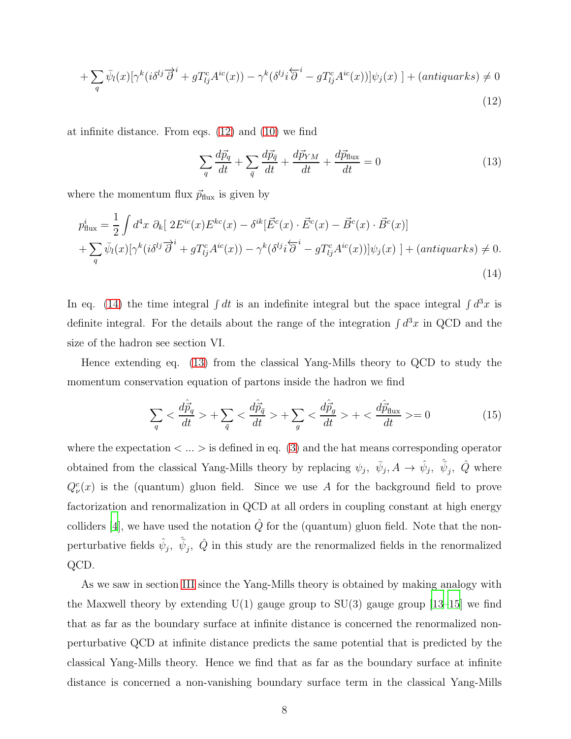$$
+\sum_{q} \bar{\psi}_{l}(x)[\gamma^{k}(i\delta^{lj}\overrightarrow{\partial}^{i}+gT^{c}_{lj}A^{ic}(x))-\gamma^{k}(\delta^{lj}i\overleftarrow{\partial}^{i}-gT^{c}_{lj}A^{ic}(x))] \psi_{j}(x)]+(antiquarks) \neq 0
$$
\n(12)

at infinite distance. From eqs. [\(12\)](#page-7-0) and [\(10\)](#page-7-1) we find

<span id="page-8-1"></span>
$$
\sum_{q} \frac{d\vec{p}_q}{dt} + \sum_{\bar{q}} \frac{d\vec{p}_{\bar{q}}}{dt} + \frac{d\vec{p}_{YM}}{dt} + \frac{d\vec{p}_{\text{flux}}}{dt} = 0
$$
\n(13)

where the momentum flux  $\vec{p}_{\text{flux}}$  is given by

<span id="page-8-0"></span>
$$
p_{\text{flux}}^i = \frac{1}{2} \int d^4x \ \partial_k \left[ 2E^{ic}(x) E^{kc}(x) - \delta^{ik} [\vec{E}^c(x) \cdot \vec{E}^c(x) - \vec{B}^c(x) \cdot \vec{B}^c(x) \right] + \sum_q \bar{\psi}_l(x) [\gamma^k (i\delta^{lj} \overrightarrow{\partial}^i + g T_{lj}^c A^{ic}(x)) - \gamma^k (\delta^{lj} i \overleftarrow{\partial}^i - g T_{lj}^c A^{ic}(x))] \psi_j(x) \right] + (antiquarks) \neq 0.
$$
\n(14)

In eq. [\(14\)](#page-8-0) the time integral  $\int dt$  is an indefinite integral but the space integral  $\int d^3x$  is definite integral. For the details about the range of the integration  $\int d^3x$  in QCD and the size of the hadron see section VI.

Hence extending eq. [\(13\)](#page-8-1) from the classical Yang-Mills theory to QCD to study the momentum conservation equation of partons inside the hadron we find

<span id="page-8-2"></span>
$$
\sum_{q} < \frac{d\hat{p}_q}{dt} > + \sum_{\bar{q}} < \frac{d\hat{p}_{\bar{q}}}{dt} > + \sum_{g} < \frac{d\hat{p}_g}{dt} > + < \frac{d\hat{p}_{\text{flux}}}{dt} > = 0 \tag{15}
$$

where the expectation  $\langle \ldots \rangle$  is defined in eq. [\(3\)](#page-2-3) and the hat means corresponding operator obtained from the classical Yang-Mills theory by replacing  $\psi_j$ ,  $\bar{\psi}_j$ ,  $A \to \hat{\psi}_j$ ,  $\hat{\psi}_j$ ,  $\hat{Q}$  where  $Q_{\nu}^{c}(x)$  is the (quantum) gluon field. Since we use A for the background field to prove factorization and renormalization in QCD at all orders in coupling constant at high energy colliders [\[4](#page-11-5)], we have used the notation  $\hat{Q}$  for the (quantum) gluon field. Note that the nonperturbative fields  $\hat{\psi}_j$ ,  $\hat{\bar{\psi}}_j$ ,  $\hat{Q}$  in this study are the renormalized fields in the renormalized QCD.

As we saw in section [III](#page-5-0) since the Yang-Mills theory is obtained by making analogy with the Maxwell theory by extending  $U(1)$  gauge group to  $SU(3)$  gauge group [\[13](#page-12-7)[–15](#page-12-9)] we find that as far as the boundary surface at infinite distance is concerned the renormalized nonperturbative QCD at infinite distance predicts the same potential that is predicted by the classical Yang-Mills theory. Hence we find that as far as the boundary surface at infinite distance is concerned a non-vanishing boundary surface term in the classical Yang-Mills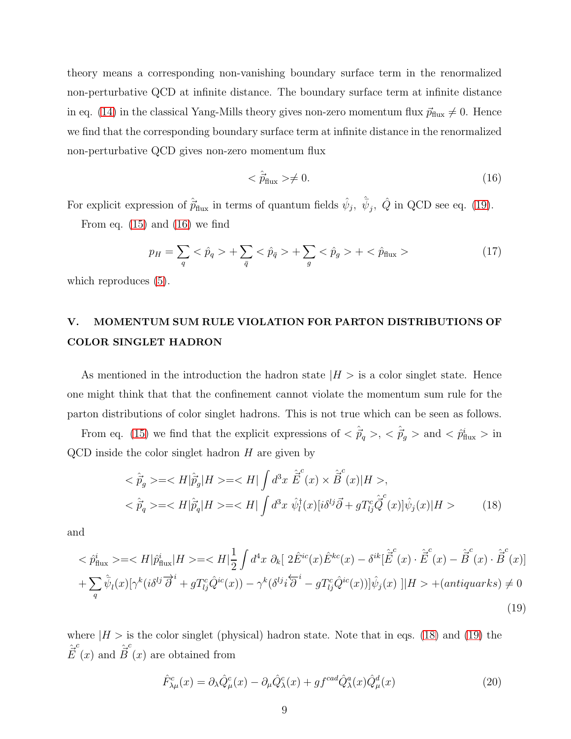theory means a corresponding non-vanishing boundary surface term in the renormalized non-perturbative QCD at infinite distance. The boundary surface term at infinite distance in eq. [\(14\)](#page-8-0) in the classical Yang-Mills theory gives non-zero momentum flux  $\vec{p}_{\text{flux}} \neq 0$ . Hence we find that the corresponding boundary surface term at infinite distance in the renormalized non-perturbative QCD gives non-zero momentum flux

<span id="page-9-1"></span>
$$
\langle \hat{p}_{\text{flux}} \rangle \neq 0. \tag{16}
$$

For explicit expression of  $\hat{\vec{p}}_{\text{flux}}$  in terms of quantum fields  $\hat{\psi}_j$ ,  $\hat{\psi}_j$ ,  $\hat{Q}$  in QCD see eq. [\(19\)](#page-9-0).

From eq.  $(15)$  and  $(16)$  we find

<span id="page-9-3"></span>
$$
p_H = \sum_{q} \langle \hat{p}_q \rangle + \sum_{\bar{q}} \langle \hat{p}_{\bar{q}} \rangle + \sum_{g} \langle \hat{p}_g \rangle + \langle \hat{p}_{\text{flux}} \rangle \tag{17}
$$

which reproduces  $(5)$ .

## V. MOMENTUM SUM RULE VIOLATION FOR PARTON DISTRIBUTIONS OF COLOR SINGLET HADRON

As mentioned in the introduction the hadron state  $|H| >$  is a color singlet state. Hence one might think that that the confinement cannot violate the momentum sum rule for the parton distributions of color singlet hadrons. This is not true which can be seen as follows.

From eq. [\(15\)](#page-8-2) we find that the explicit expressions of  $\langle \hat{\vec{p}}_q \rangle$ ,  $\langle \hat{\vec{p}}_g \rangle$  and  $\langle \hat{p}^i_{\text{flux}} \rangle$  in  $QCD$  inside the color singlet hadron  $H$  are given by

<span id="page-9-2"></span>
$$
\langle \hat{p}_g \rangle = \langle H | \hat{p}_g | H \rangle = \langle H | \int d^3x \, \hat{\vec{E}}(x) \times \hat{\vec{B}}(x) | H \rangle,
$$
\n
$$
\langle \hat{p}_q \rangle = \langle H | \hat{p}_q | H \rangle = \langle H | \int d^3x \, \hat{\psi}_l^{\dagger}(x) [\hat{i}\delta^{lj} \vec{\partial} + g T_{lj}^c \hat{\vec{Q}}(x)] \hat{\psi}_j(x) | H \rangle \tag{18}
$$

and

<span id="page-9-0"></span>
$$
\langle \hat{p}^i_{\text{flux}} \rangle = \langle H | \hat{p}^i_{\text{flux}} | H \rangle = \langle H | \frac{1}{2} \int d^4 x \ \partial_k [ 2 \hat{E}^{ic}(x) \hat{E}^{kc}(x) - \delta^{ik} [\tilde{\vec{E}}^c(x) \cdot \hat{\vec{E}}^c(x) - \hat{\vec{B}}^c(x) \cdot \hat{\vec{B}}^c(x)]
$$
  
+ 
$$
\sum_q \hat{\psi}_l(x) [\gamma^k(i\delta^{lj} \vec{\partial}^i + g T^c_{lj} \hat{Q}^{ic}(x)) - \gamma^k(\delta^{lj} i\vec{\partial}^i - g T^c_{lj} \hat{Q}^{ic}(x))] \hat{\psi}_j(x) ||H \rangle + (antiquarks) \neq 0
$$
\n(19)

where  $|H>$  is the color singlet (physical) hadron state. Note that in eqs. [\(18\)](#page-9-2) and [\(19\)](#page-9-0) the  $\hat{\vec{E}}(x)$  and  $\hat{\vec{B}}^c$ (x) are obtained from

$$
\hat{F}^c_{\lambda\mu}(x) = \partial_{\lambda}\hat{Q}^c_{\mu}(x) - \partial_{\mu}\hat{Q}^c_{\lambda}(x) + gf^{cad}\hat{Q}^a_{\lambda}(x)\hat{Q}^d_{\mu}(x)
$$
\n(20)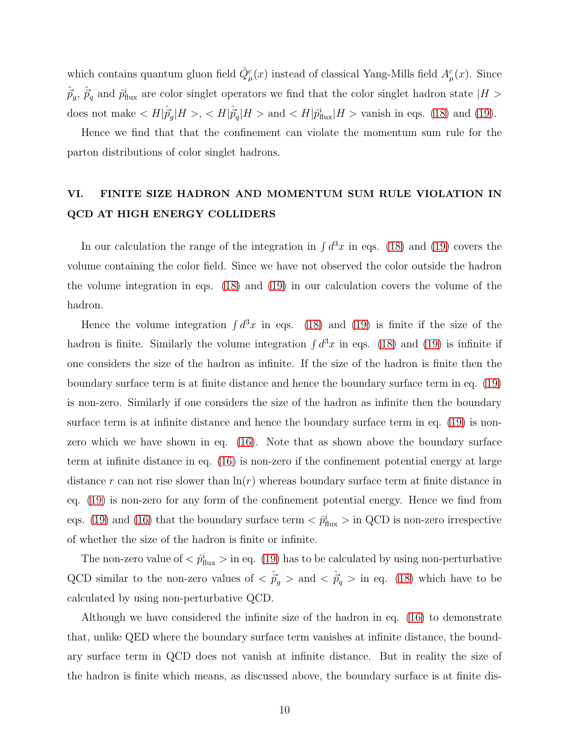which contains quantum gluon field  $\hat{Q}^c_\mu(x)$  instead of classical Yang-Mills field  $A^c_\mu(x)$ . Since  $\hat{\vec{p}}_g$ ,  $\hat{\vec{p}}_q$  and  $\hat{p}^i_{\text{flux}}$  are color singlet operators we find that the color singlet hadron state  $|H>$ does not make  $\langle H|\hat{p}_g^{\dagger}|H\rangle$ ,  $\langle H|\hat{p}_q^{\dagger}|H\rangle$  and  $\langle H|\hat{p}_{\text{flux}}^i|H\rangle$  vanish in eqs. [\(18\)](#page-9-2) and [\(19\)](#page-9-0).

Hence we find that that the confinement can violate the momentum sum rule for the parton distributions of color singlet hadrons.

### VI. FINITE SIZE HADRON AND MOMENTUM SUM RULE VIOLATION IN QCD AT HIGH ENERGY COLLIDERS

In our calculation the range of the integration in  $\int d^3x$  in eqs. [\(18\)](#page-9-2) and [\(19\)](#page-9-0) covers the volume containing the color field. Since we have not observed the color outside the hadron the volume integration in eqs. [\(18\)](#page-9-2) and [\(19\)](#page-9-0) in our calculation covers the volume of the hadron.

Hence the volume integration  $\int d^3x$  in eqs. [\(18\)](#page-9-2) and [\(19\)](#page-9-0) is finite if the size of the hadron is finite. Similarly the volume integration  $\int d^3x$  in eqs. [\(18\)](#page-9-2) and [\(19\)](#page-9-0) is infinite if one considers the size of the hadron as infinite. If the size of the hadron is finite then the boundary surface term is at finite distance and hence the boundary surface term in eq. [\(19\)](#page-9-0) is non-zero. Similarly if one considers the size of the hadron as infinite then the boundary surface term is at infinite distance and hence the boundary surface term in eq. [\(19\)](#page-9-0) is nonzero which we have shown in eq. [\(16\)](#page-9-1). Note that as shown above the boundary surface term at infinite distance in eq. [\(16\)](#page-9-1) is non-zero if the confinement potential energy at large distance r can not rise slower than  $\ln(r)$  whereas boundary surface term at finite distance in eq. [\(19\)](#page-9-0) is non-zero for any form of the confinement potential energy. Hence we find from eqs. [\(19\)](#page-9-0) and [\(16\)](#page-9-1) that the boundary surface term  $\langle \hat{p}_{\text{flux}}^i \rangle$  in QCD is non-zero irrespective of whether the size of the hadron is finite or infinite.

The non-zero value of  $\langle \hat{p}_{\text{flux}}^i \rangle$  in eq. [\(19\)](#page-9-0) has to be calculated by using non-perturbative QCD similar to the non-zero values of  $\langle \hat{p}_g \rangle$  and  $\langle \hat{p}_g \rangle$  in eq. [\(18\)](#page-9-2) which have to be calculated by using non-perturbative QCD.

Although we have considered the infinite size of the hadron in eq. [\(16\)](#page-9-1) to demonstrate that, unlike QED where the boundary surface term vanishes at infinite distance, the boundary surface term in QCD does not vanish at infinite distance. But in reality the size of the hadron is finite which means, as discussed above, the boundary surface is at finite dis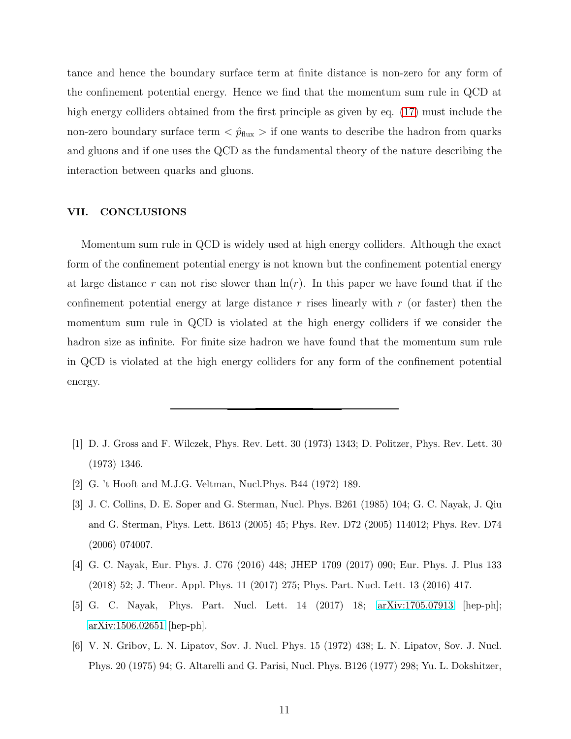tance and hence the boundary surface term at finite distance is non-zero for any form of the confinement potential energy. Hence we find that the momentum sum rule in QCD at high energy colliders obtained from the first principle as given by eq.  $(17)$  must include the non-zero boundary surface term  $\langle \hat{p}_{\text{flux}} \rangle$  if one wants to describe the hadron from quarks and gluons and if one uses the QCD as the fundamental theory of the nature describing the interaction between quarks and gluons.

#### VII. CONCLUSIONS

Momentum sum rule in QCD is widely used at high energy colliders. Although the exact form of the confinement potential energy is not known but the confinement potential energy at large distance r can not rise slower than  $\ln(r)$ . In this paper we have found that if the confinement potential energy at large distance r rises linearly with  $r$  (or faster) then the momentum sum rule in QCD is violated at the high energy colliders if we consider the hadron size as infinite. For finite size hadron we have found that the momentum sum rule in QCD is violated at the high energy colliders for any form of the confinement potential energy.

- <span id="page-11-0"></span>[1] D. J. Gross and F. Wilczek, Phys. Rev. Lett. 30 (1973) 1343; D. Politzer, Phys. Rev. Lett. 30 (1973) 1346.
- <span id="page-11-1"></span>[2] G. 't Hooft and M.J.G. Veltman, Nucl.Phys. B44 (1972) 189.
- <span id="page-11-2"></span>[3] J. C. Collins, D. E. Soper and G. Sterman, Nucl. Phys. B261 (1985) 104; G. C. Nayak, J. Qiu and G. Sterman, Phys. Lett. B613 (2005) 45; Phys. Rev. D72 (2005) 114012; Phys. Rev. D74 (2006) 074007.
- <span id="page-11-5"></span>[4] G. C. Nayak, Eur. Phys. J. C76 (2016) 448; JHEP 1709 (2017) 090; Eur. Phys. J. Plus 133 (2018) 52; J. Theor. Appl. Phys. 11 (2017) 275; Phys. Part. Nucl. Lett. 13 (2016) 417.
- <span id="page-11-3"></span>[5] G. C. Nayak, Phys. Part. Nucl. Lett. 14 (2017) 18; [arXiv:1705.07913](http://arxiv.org/abs/1705.07913) [hep-ph]; [arXiv:1506.02651](http://arxiv.org/abs/1506.02651) [hep-ph].
- <span id="page-11-4"></span>[6] V. N. Gribov, L. N. Lipatov, Sov. J. Nucl. Phys. 15 (1972) 438; L. N. Lipatov, Sov. J. Nucl. Phys. 20 (1975) 94; G. Altarelli and G. Parisi, Nucl. Phys. B126 (1977) 298; Yu. L. Dokshitzer,